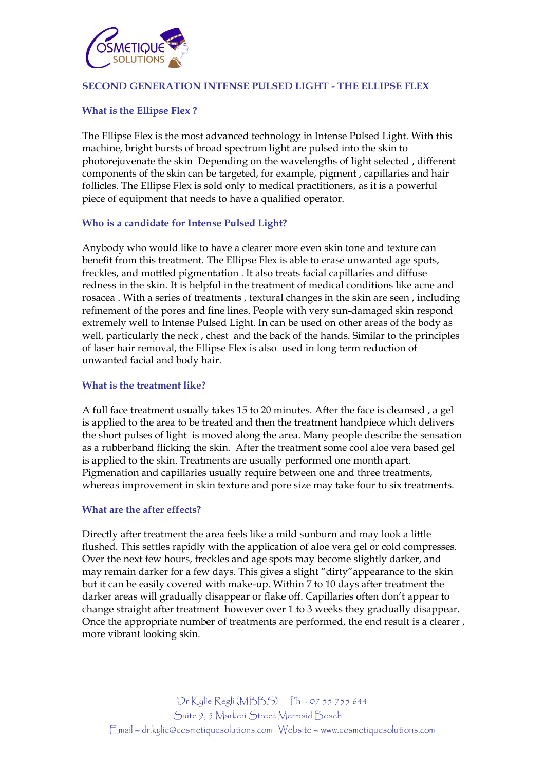

## **SECOND GENERATION INTENSE PULSED LIGHT - THE ELLIPSE FLEX**

## **What is the Ellipse Flex ?**

The Ellipse Flex is the most advanced technology in Intense Pulsed Light. With this machine, bright bursts of broad spectrum light are pulsed into the skin to photorejuvenate the skin Depending on the wavelengths of light selected , different components of the skin can be targeted, for example, pigment , capillaries and hair follicles. The Ellipse Flex is sold only to medical practitioners, as it is a powerful piece of equipment that needs to have a qualified operator.

## **Who is a candidate for Intense Pulsed Light?**

Anybody who would like to have a clearer more even skin tone and texture can benefit from this treatment. The Ellipse Flex is able to erase unwanted age spots, freckles, and mottled pigmentation . It also treats facial capillaries and diffuse redness in the skin. It is helpful in the treatment of medical conditions like acne and rosacea . With a series of treatments , textural changes in the skin are seen , including refinement of the pores and fine lines. People with very sun-damaged skin respond extremely well to Intense Pulsed Light. In can be used on other areas of the body as well, particularly the neck , chest and the back of the hands. Similar to the principles of laser hair removal, the Ellipse Flex is also used in long term reduction of unwanted facial and body hair.

#### **What is the treatment like?**

A full face treatment usually takes 15 to 20 minutes. After the face is cleansed , a gel is applied to the area to be treated and then the treatment handpiece which delivers the short pulses of light is moved along the area. Many people describe the sensation as a rubberband flicking the skin. After the treatment some cool aloe vera based gel is applied to the skin. Treatments are usually performed one month apart. Pigmenation and capillaries usually require between one and three treatments, whereas improvement in skin texture and pore size may take four to six treatments.

## **What are the after effects?**

Directly after treatment the area feels like a mild sunburn and may look a little flushed. This settles rapidly with the application of aloe vera gel or cold compresses. Over the next few hours, freckles and age spots may become slightly darker, and may remain darker for a few days. This gives a slight "dirty"appearance to the skin but it can be easily covered with make-up. Within 7 to 10 days after treatment the darker areas will gradually disappear or flake off. Capillaries often don't appear to change straight after treatment however over 1 to 3 weeks they gradually disappear. Once the appropriate number of treatments are performed, the end result is a clearer , more vibrant looking skin.